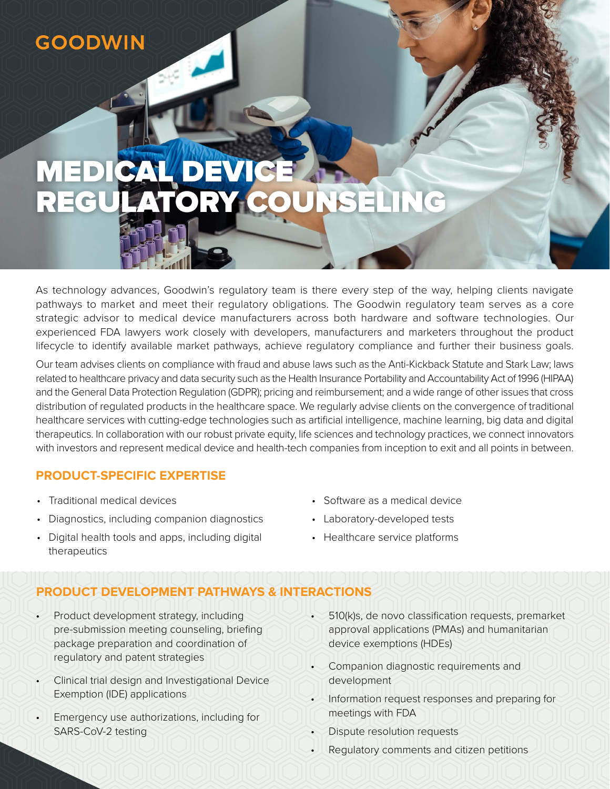# **GOODWIN**

# MEDICAL DEVICE REGULATORY COUNSELING

As technology advances, Goodwin's regulatory team is there every step of the way, helping clients navigate pathways to market and meet their regulatory obligations. The Goodwin regulatory team serves as a core strategic advisor to medical device manufacturers across both hardware and software technologies. Our experienced FDA lawyers work closely with developers, manufacturers and marketers throughout the product lifecycle to identify available market pathways, achieve regulatory compliance and further their business goals.

Our team advises clients on compliance with fraud and abuse laws such as the Anti-Kickback Statute and Stark Law; laws related to healthcare privacy and data security such as the Health Insurance Portability and Accountability Act of 1996 (HIPAA) and the General Data Protection Regulation (GDPR); pricing and reimbursement; and a wide range of other issues that cross distribution of regulated products in the healthcare space. We regularly advise clients on the convergence of traditional healthcare services with cutting-edge technologies such as artificial intelligence, machine learning, big data and digital therapeutics. In collaboration with our robust private equity, life sciences and technology practices, we connect innovators with investors and represent medical device and health-tech companies from inception to exit and all points in between.

#### **PRODUCT-SPECIFIC EXPERTISE**

- Traditional medical devices
- Diagnostics, including companion diagnostics
- Digital health tools and apps, including digital therapeutics
- Software as a medical device
- Laboratory-developed tests
- Healthcare service platforms

# **PRODUCT DEVELOPMENT PATHWAYS & INTERACTIONS**

- Product development strategy, including pre-submission meeting counseling, briefing package preparation and coordination of regulatory and patent strategies
- Clinical trial design and Investigational Device Exemption (IDE) applications
- Emergency use authorizations, including for SARS-CoV-2 testing
- 510(k)s, de novo classification requests, premarket approval applications (PMAs) and humanitarian device exemptions (HDEs)
- Companion diagnostic requirements and development
- Information request responses and preparing for meetings with FDA
- Dispute resolution requests
- Regulatory comments and citizen petitions